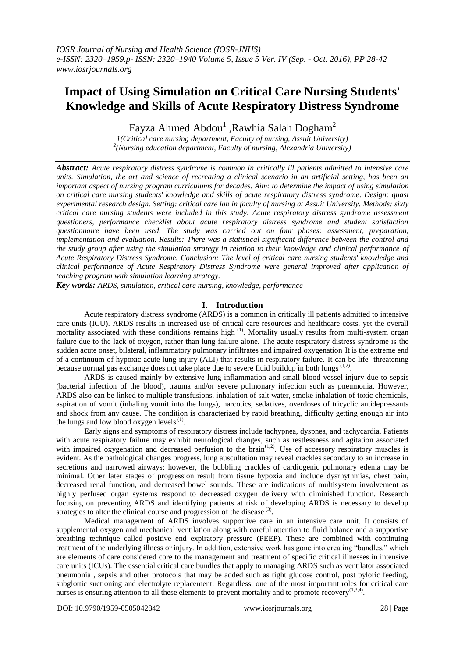# **Impact of Using Simulation on Critical Care Nursing Students' Knowledge and Skills of Acute Respiratory Distress Syndrome**

Fayza Ahmed Abdou<sup>1</sup>, Rawhia Salah Dogham<sup>2</sup>

*1(Critical care nursing department, Faculty of nursing, Assuit University) 2 (Nursing education department, Faculty of nursing, Alexandria University)*

*Abstract: Acute respiratory distress syndrome is common in critically ill patients admitted to intensive care units. Simulation, the art and science of recreating a clinical scenario in an artificial setting, has been an important aspect of nursing program curriculums for decades. Aim: to determine the impact of using simulation on critical care nursing students' knowledge and skills of acute respiratory distress syndrome. Design: quasi experimental research design. Setting: critical care lab in faculty of nursing at Assuit University. Methods: sixty critical care nursing students were included in this study. Acute respiratory distress syndrome assessment questioners, performance checklist about acute respiratory distress syndrome and student satisfaction questionnaire have been used. The study was carried out on four phases: assessment, preparation, implementation and evaluation. Results: There was a statistical significant difference between the control and the study group after using the simulation strategy in relation to their knowledge and clinical performance of Acute Respiratory Distress Syndrome. Conclusion: The level of critical care nursing students' knowledge and clinical performance of Acute Respiratory Distress Syndrome were general improved after application of teaching program with simulation learning strategy.* 

*Key words: ARDS, simulation, critical care nursing, knowledge, performance*

# **I. Introduction**

Acute respiratory distress syndrome (ARDS) is a common in critically ill patients admitted to intensive care units (ICU). ARDS results in increased use of critical care resources and healthcare costs, yet the overall mortality associated with these conditions remains high <sup>(1)</sup>. Mortality usually results from multi-system organ failure due to the lack of oxygen, rather than lung failure alone. The acute respiratory distress syndrome is the sudden acute onset, bilateral, inflammatory pulmonary infiltrates and impaired oxygenation. It is the extreme end of a continuum of hypoxic acute lung injury (ALI) that results in respiratory failure. It can be life- threatening because normal gas exchange does not take place due to severe fluid buildup in both lungs <sup>(1,2)</sup>.

ARDS is caused mainly by extensive lung inflammation and small blood vessel injury due to sepsis (bacterial infection of the blood), trauma and/or severe pulmonary infection such as pneumonia. However, ARDS also can be linked to multiple transfusions, inhalation of salt water, smoke inhalation of toxic chemicals, aspiration of vomit (inhaling vomit into the lungs), narcotics, sedatives, overdoses of tricyclic antidepressants and shock from any cause. The condition is characterized by rapid breathing, difficulty getting enough air into the lungs and low blood oxygen levels $<sup>(1)</sup>$ .</sup>

Early signs and symptoms of respiratory distress include tachypnea, dyspnea, and tachycardia. Patients with acute respiratory failure may exhibit neurological changes, such as restlessness and agitation associated with impaired oxygenation and decreased perfusion to the brain<sup>(1,2)</sup>. Use of accessory respiratory muscles is evident. As the pathological changes progress, lung auscultation may reveal crackles secondary to an increase in secretions and narrowed airways; however, the bubbling crackles of cardiogenic pulmonary edema may be minimal. Other later stages of progression result from tissue hypoxia and include dysrhythmias, chest pain, decreased renal function, and decreased bowel sounds. These are indications of multisystem involvement as highly perfused organ systems respond to decreased oxygen delivery with diminished function. Research focusing on preventing ARDS and identifying patients at risk of developing ARDS is necessary to develop strategies to alter the clinical course and progression of the disease  $(3)$ .

Medical management of ARDS involves supportive care in an intensive care unit. It consists of supplemental oxygen and mechanical ventilation along with careful attention to fluid balance and a supportive breathing technique called positive end expiratory pressure (PEEP). These are combined with continuing treatment of the underlying illness or injury. In addition, extensive work has gone into creating "bundles," which are elements of care considered core to the management and treatment of specific critical illnesses in intensive care units (ICUs). The essential critical care bundles that apply to managing ARDS such as ventilator associated pneumonia , sepsis and other protocols that may be added such as tight glucose control, post pyloric feeding, subglottic suctioning and electrolyte replacement. Regardless, one of the most important roles for critical care nurses is ensuring attention to all these elements to prevent mortality and to promote recovery $(1,3,4)$ .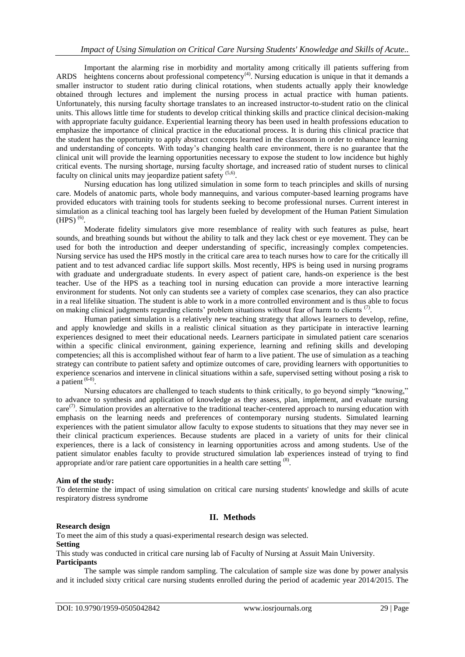Important the alarming rise in morbidity and mortality among critically ill patients suffering from ARDS heightens concerns about professional competency<sup>(4)</sup>. Nursing education is unique in that it demands a smaller instructor to student ratio during clinical rotations, when students actually apply their knowledge obtained through lectures and implement the nursing process in actual practice with human patients. Unfortunately, this nursing faculty shortage translates to an increased instructor-to-student ratio on the clinical units. This allows little time for students to develop critical thinking skills and practice clinical decision-making with appropriate faculty guidance. Experiential learning theory has been used in health professions education to emphasize the importance of clinical practice in the educational process. It is during this clinical practice that the student has the opportunity to apply abstract concepts learned in the classroom in order to enhance learning and understanding of concepts. With today's changing health care environment, there is no guarantee that the clinical unit will provide the learning opportunities necessary to expose the student to low incidence but highly critical events. The nursing shortage, nursing faculty shortage, and increased ratio of student nurses to clinical faculty on clinical units may jeopardize patient safety<sup>(5,6)</sup>.

Nursing education has long utilized simulation in some form to teach principles and skills of nursing care. Models of anatomic parts, whole body mannequins, and various computer-based learning programs have provided educators with training tools for students seeking to become professional nurses. Current interest in simulation as a clinical teaching tool has largely been fueled by development of the Human Patient Simulation  $(HPS)$ <sup>(6)</sup>.

Moderate fidelity simulators give more resemblance of reality with such features as pulse, heart sounds, and breathing sounds but without the ability to talk and they lack chest or eye movement. They can be used for both the introduction and deeper understanding of specific, increasingly complex competencies. Nursing service has used the HPS mostly in the critical care area to teach nurses how to care for the critically ill patient and to test advanced cardiac life support skills. Most recently, HPS is being used in nursing programs with graduate and undergraduate students. In every aspect of patient care, hands-on experience is the best teacher. Use of the HPS as a teaching tool in nursing education can provide a more interactive learning environment for students. Not only can students see a variety of complex case scenarios, they can also practice in a real lifelike situation. The student is able to work in a more controlled environment and is thus able to focus on making clinical judgments regarding clients' problem situations without fear of harm to clients  $(7)$ .

Human patient simulation is a relatively new teaching strategy that allows learners to develop, refine, and apply knowledge and skills in a realistic clinical situation as they participate in interactive learning experiences designed to meet their educational needs. Learners participate in simulated patient care scenarios within a specific clinical environment, gaining experience, learning and refining skills and developing competencies; all this is accomplished without fear of harm to a live patient. The use of simulation as a teaching strategy can contribute to patient safety and optimize outcomes of care, providing learners with opportunities to experience scenarios and intervene in clinical situations within a safe, supervised setting without posing a risk to a patient  $(6-8)$ .

Nursing educators are challenged to teach students to think critically, to go beyond simply "knowing," to advance to synthesis and application of knowledge as they assess, plan, implement, and evaluate nursing  $care<sup>(7)</sup>$ . Simulation provides an alternative to the traditional teacher-centered approach to nursing education with emphasis on the learning needs and preferences of contemporary nursing students. Simulated learning experiences with the patient simulator allow faculty to expose students to situations that they may never see in their clinical practicum experiences. Because students are placed in a variety of units for their clinical experiences, there is a lack of consistency in learning opportunities across and among students. Use of the patient simulator enables faculty to provide structured simulation lab experiences instead of trying to find appropriate and/or rare patient care opportunities in a health care setting  $(8)$ .

## **Aim of the study:**

To determine the impact of using simulation on critical care nursing students' knowledge and skills of acute respiratory distress syndrome

# **II. Methods**

#### **Research design**

To meet the aim of this study a quasi-experimental research design was selected.

# **Setting**

This study was conducted in critical care nursing lab of Faculty of Nursing at Assuit Main University. **Participants**

The sample was simple random sampling. The calculation of sample size was done by power analysis and it included sixty critical care nursing students enrolled during the period of academic year 2014/2015. The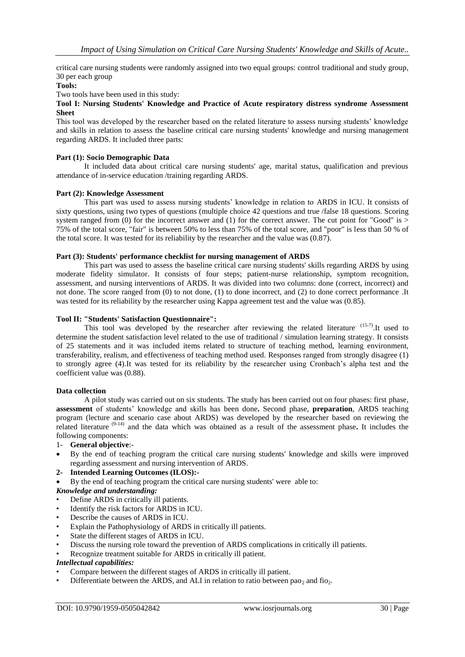critical care nursing students were randomly assigned into two equal groups: control traditional and study group, 30 per each group

#### **Tools:**

Two tools have been used in this study:

#### **Tool I: Nursing Students' Knowledge and Practice of Acute respiratory distress syndrome Assessment Sheet**

This tool was developed by the researcher based on the related literature to assess nursing students" knowledge and skills in relation to assess the baseline critical care nursing students' knowledge and nursing management regarding ARDS. It included three parts:

#### **Part (1): Socio Demographic Data**

It included data about critical care nursing students' age, marital status, qualification and previous attendance of in-service education /training regarding ARDS.

#### **Part (2): Knowledge Assessment**

This part was used to assess nursing students" knowledge in relation to ARDS in ICU. It consists of sixty questions, using two types of questions (multiple choice 42 questions and true /false 18 questions. Scoring system ranged from (0) for the incorrect answer and (1) for the correct answer. The cut point for "Good" is  $\geq$ 75% of the total score, "fair" is between 50% to less than 75% of the total score, and "poor" is less than 50 % of the total score. It was tested for its reliability by the researcher and the value was (0.87).

#### **Part (3): Students' performance checklist for nursing management of ARDS**

This part was used to assess the baseline critical care nursing students' skills regarding ARDS by using moderate fidelity simulator. It consists of four steps; patient-nurse relationship, symptom recognition, assessment, and nursing interventions of ARDS. It was divided into two columns: done (correct, incorrect) and not done. The score ranged from (0) to not done, (1) to done incorrect, and (2) to done correct performance .It was tested for its reliability by the researcher using Kappa agreement test and the value was (0.85).

#### **Tool II: "Students' Satisfaction Questionnaire":**

This tool was developed by the researcher after reviewing the related literature<sup>(15-7)</sup>. It used to determine the student satisfaction level related to the use of traditional / simulation learning strategy. It consists of 25 statements and it was included items related to structure of teaching method, learning environment, transferability, realism, and effectiveness of teaching method used. Responses ranged from strongly disagree (1) to strongly agree (4).It was tested for its reliability by the researcher using Cronbach"s alpha test and the coefficient value was (0.88).

#### **Data collection**

A pilot study was carried out on six students. The study has been carried out on four phases: first phase, **assessment** of students" knowledge and skills has been done**.** Second phase, **preparation**, ARDS teaching program (lecture and scenario case about ARDS) was developed by the researcher based on reviewing the related literature (9-14) and the data which was obtained as a result of the assessment phase**.** It includes the following components:

#### 1- **General objective**:-

- By the end of teaching program the critical care nursing students' knowledge and skills were improved regarding assessment and nursing intervention of ARDS.
- **2- Intended Learning Outcomes (ILOS):-**
- By the end of teaching program the critical care nursing students' were able to:

## *Knowledge and understanding:*

- Define ARDS in critically ill patients.
- Identify the risk factors for ARDS in ICU.
- Describe the causes of ARDS in ICU.
- Explain the Pathophysiology of ARDS in critically ill patients.
- State the different stages of ARDS in ICU.
- Discuss the nursing role toward the prevention of ARDS complications in critically ill patients.
- Recognize treatment suitable for ARDS in critically ill patient.

#### *Intellectual capabilities:*

- Compare between the different stages of ARDS in critically ill patient.
- Differentiate between the ARDS, and ALI in relation to ratio between pao<sub>2</sub> and fio<sub>2</sub>.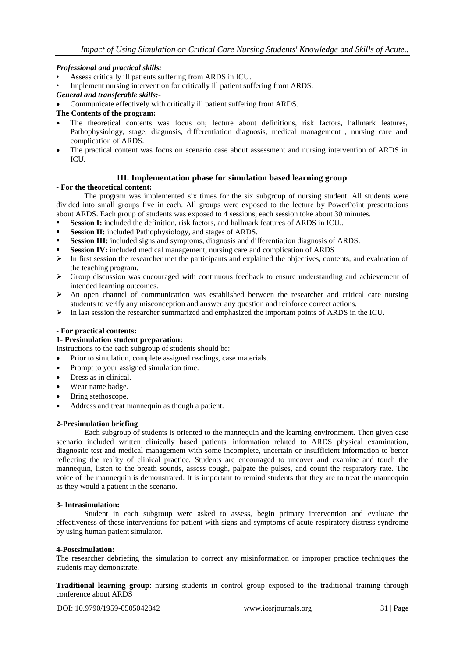## *Professional and practical skills:*

- Assess critically ill patients suffering from ARDS in ICU.
- Implement nursing intervention for critically ill patient suffering from ARDS.
- *General and transferable skills:-*
- Communicate effectively with critically ill patient suffering from ARDS.

## **The Contents of the program:**

- The theoretical contents was focus on; lecture about definitions, risk factors, hallmark features, Pathophysiology, stage, diagnosis, differentiation diagnosis, medical management , nursing care and complication of ARDS.
- The practical content was focus on scenario case about assessment and nursing intervention of ARDS in ICU.

#### **III. Implementation phase for simulation based learning group**

#### **- For the theoretical content:**

The program was implemented six times for the six subgroup of nursing student. All students were divided into small groups five in each. All groups were exposed to the lecture by PowerPoint presentations about ARDS. Each group of students was exposed to 4 sessions; each session toke about 30 minutes.

- Session I: included the definition, risk factors, and hallmark features of ARDS in ICU..
- **Session II:** included Pathophysiology, and stages of ARDS.
- **Session III:** included signs and symptoms, diagnosis and differentiation diagnosis of ARDS.
- **Session IV:** included medical management, nursing care and complication of ARDS
- $\triangleright$  In first session the researcher met the participants and explained the objectives, contents, and evaluation of the teaching program.
- Group discussion was encouraged with continuous feedback to ensure understanding and achievement of intended learning outcomes.
- $\triangleright$  An open channel of communication was established between the researcher and critical care nursing students to verify any misconception and answer any question and reinforce correct actions.
- $\triangleright$  In last session the researcher summarized and emphasized the important points of ARDS in the ICU.

## **- For practical contents:**

## **1- Presimulation student preparation:**

Instructions to the each subgroup of students should be:

- Prior to simulation, complete assigned readings, case materials.
- Prompt to your assigned simulation time.
- Dress as in clinical.
- Wear name badge.
- Bring stethoscope.
- Address and treat mannequin as though a patient.

#### **2-Presimulation briefing**

Each subgroup of students is oriented to the mannequin and the learning environment. Then given case scenario included written clinically based patients' information related to ARDS physical examination, diagnostic test and medical management with some incomplete, uncertain or insufficient information to better reflecting the reality of clinical practice. Students are encouraged to uncover and examine and touch the mannequin, listen to the breath sounds, assess cough, palpate the pulses, and count the respiratory rate. The voice of the mannequin is demonstrated. It is important to remind students that they are to treat the mannequin as they would a patient in the scenario.

#### **3- Intrasimulation:**

Student in each subgroup were asked to assess, begin primary intervention and evaluate the effectiveness of these interventions for patient with signs and symptoms of acute respiratory distress syndrome by using human patient simulator.

#### **4-Postsimulation:**

The researcher debriefing the simulation to correct any misinformation or improper practice techniques the students may demonstrate.

**Traditional learning group**: nursing students in control group exposed to the traditional training through conference about ARDS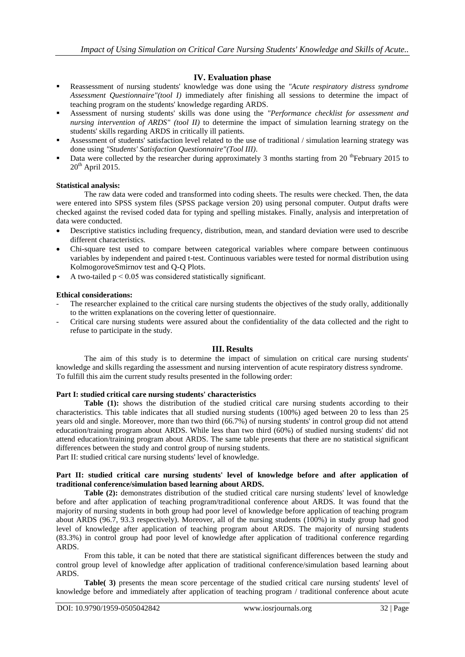# **IV. Evaluation phase**

- Reassessment of nursing students' knowledge was done using the *"Acute respiratory distress syndrome Assessment Questionnaire"(tool I)* immediately after finishing all sessions to determine the impact of teaching program on the students' knowledge regarding ARDS.
- Assessment of nursing students' skills was done using the *"Performance checklist for assessment and nursing intervention of ARDS" (tool II)* to determine the impact of simulation learning strategy on the students' skills regarding ARDS in critically ill patients.
- Assessment of students' satisfaction level related to the use of traditional / simulation learning strategy was done using *"Students' Satisfaction Questionnaire"(Tool III)*.
- Data were collected by the researcher during approximately 3 months starting from 20<sup>th</sup>February 2015 to  $20<sup>th</sup>$  April 2015.

## **Statistical analysis:**

The raw data were coded and transformed into coding sheets. The results were checked. Then, the data were entered into SPSS system files (SPSS package version 20) using personal computer. Output drafts were checked against the revised coded data for typing and spelling mistakes. Finally, analysis and interpretation of data were conducted.

- Descriptive statistics including frequency, distribution, mean, and standard deviation were used to describe different characteristics.
- Chi-square test used to compare between categorical variables where compare between continuous variables by independent and paired t-test. Continuous variables were tested for normal distribution using KolmogoroveSmirnov test and Q-Q Plots.
- $\bullet$  A two-tailed  $p < 0.05$  was considered statistically significant.

## **Ethical considerations:**

- The researcher explained to the critical care nursing students the objectives of the study orally, additionally to the written explanations on the covering letter of questionnaire.
- Critical care nursing students were assured about the confidentiality of the data collected and the right to refuse to participate in the study.

#### **III. Results**

The aim of this study is to determine the impact of simulation on critical care nursing students' knowledge and skills regarding the assessment and nursing intervention of acute respiratory distress syndrome. To fulfill this aim the current study results presented in the following order:

#### **Part I: studied critical care nursing students' characteristics**

Table (1): shows the distribution of the studied critical care nursing students according to their characteristics. This table indicates that all studied nursing students (100%) aged between 20 to less than 25 years old and single. Moreover, more than two third (66.7%) of nursing students' in control group did not attend education/training program about ARDS. While less than two third (60%) of studied nursing students' did not attend education/training program about ARDS. The same table presents that there are no statistical significant differences between the study and control group of nursing students.

Part II: studied critical care nursing students' level of knowledge.

## **Part II: studied critical care nursing students' level of knowledge before and after application of traditional conference/simulation based learning about ARDS.**

**Table (2):** demonstrates distribution of the studied critical care nursing students' level of knowledge before and after application of teaching program/traditional conference about ARDS. It was found that the majority of nursing students in both group had poor level of knowledge before application of teaching program about ARDS (96.7, 93.3 respectively). Moreover, all of the nursing students (100%) in study group had good level of knowledge after application of teaching program about ARDS. The majority of nursing students (83.3%) in control group had poor level of knowledge after application of traditional conference regarding ARDS.

From this table, it can be noted that there are statistical significant differences between the study and control group level of knowledge after application of traditional conference/simulation based learning about ARDS.

**Table( 3)** presents the mean score percentage of the studied critical care nursing students' level of knowledge before and immediately after application of teaching program / traditional conference about acute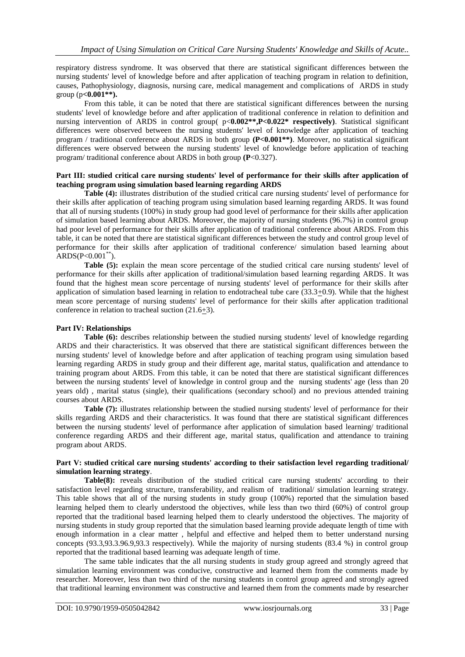respiratory distress syndrome. It was observed that there are statistical significant differences between the nursing students' level of knowledge before and after application of teaching program in relation to definition, causes, Pathophysiology, diagnosis, nursing care, medical management and complications of ARDS in study group (p**<0.001\*\*).** 

From this table, it can be noted that there are statistical significant differences between the nursing students' level of knowledge before and after application of traditional conference in relation to definition and nursing intervention of ARDS in control group( p<**0.002\*\*,P<0.022\* respectively)**. Statistical significant differences were observed between the nursing students' level of knowledge after application of teaching program / traditional conference about ARDS in both group **(P<0.001\*\*)**. Moreover, no statistical significant differences were observed between the nursing students' level of knowledge before application of teaching program/ traditional conference about ARDS in both group **(P**<0.327).

## **Part III: studied critical care nursing students' level of performance for their skills after application of teaching program using simulation based learning regarding ARDS**

**Table (4):** illustrates distribution of the studied critical care nursing students' level of performance for their skills after application of teaching program using simulation based learning regarding ARDS. It was found that all of nursing students (100%) in study group had good level of performance for their skills after application of simulation based learning about ARDS. Moreover, the majority of nursing students (96.7%) in control group had poor level of performance for their skills after application of traditional conference about ARDS. From this table, it can be noted that there are statistical significant differences between the study and control group level of performance for their skills after application of traditional conference/ simulation based learning about  $ARDS(P<0.001^{**})$ .

**Table (5):** explain the mean score percentage of the studied critical care nursing students' level of performance for their skills after application of traditional/simulation based learning regarding ARDS. It was found that the highest mean score percentage of nursing students' level of performance for their skills after application of simulation based learning in relation to endotracheal tube care  $(33.3\pm0.9)$ . While that the highest mean score percentage of nursing students' level of performance for their skills after application traditional conference in relation to tracheal suction (21.6+3).

## **Part IV: Relationships**

**Table (6):** describes relationship between the studied nursing students' level of knowledge regarding ARDS and their characteristics. It was observed that there are statistical significant differences between the nursing students' level of knowledge before and after application of teaching program using simulation based learning regarding ARDS in study group and their different age, marital status, qualification and attendance to training program about ARDS. From this table, it can be noted that there are statistical significant differences between the nursing students' level of knowledge in control group and the nursing students' age (less than 20 years old) , marital status (single), their qualifications (secondary school) and no previous attended training courses about ARDS.

**Table (7):** illustrates relationship between the studied nursing students' level of performance for their skills regarding ARDS and their characteristics. It was found that there are statistical significant differences between the nursing students' level of performance after application of simulation based learning/ traditional conference regarding ARDS and their different age, marital status, qualification and attendance to training program about ARDS.

## **Part V: studied critical care nursing students' according to their satisfaction level regarding traditional/ simulation learning strategy**.

**Table(8):** reveals distribution of the studied critical care nursing students' according to their satisfaction level regarding structure, transferability, and realism of traditional/ simulation learning strategy. This table shows that all of the nursing students in study group (100%) reported that the simulation based learning helped them to clearly understood the objectives, while less than two third (60%) of control group reported that the traditional based learning helped them to clearly understood the objectives. The majority of nursing students in study group reported that the simulation based learning provide adequate length of time with enough information in a clear matter , helpful and effective and helped them to better understand nursing concepts (93.3,93.3.96.9,93.3 respectively). While the majority of nursing students (83.4 %) in control group reported that the traditional based learning was adequate length of time.

The same table indicates that the all nursing students in study group agreed and strongly agreed that simulation learning environment was conducive, constructive and learned them from the comments made by researcher. Moreover, less than two third of the nursing students in control group agreed and strongly agreed that traditional learning environment was constructive and learned them from the comments made by researcher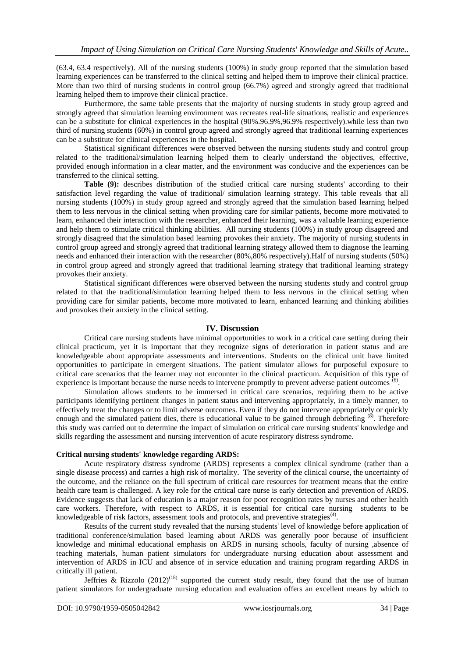(63.4, 63.4 respectively). All of the nursing students (100%) in study group reported that the simulation based learning experiences can be transferred to the clinical setting and helped them to improve their clinical practice. More than two third of nursing students in control group (66.7%) agreed and strongly agreed that traditional learning helped them to improve their clinical practice.

Furthermore, the same table presents that the majority of nursing students in study group agreed and strongly agreed that simulation learning environment was recreates real-life situations, realistic and experiences can be a substitute for clinical experiences in the hospital (90%.96.9%,96.9% respectively).while less than two third of nursing students (60%) in control group agreed and strongly agreed that traditional learning experiences can be a substitute for clinical experiences in the hospital.

Statistical significant differences were observed between the nursing students study and control group related to the traditional/simulation learning helped them to clearly understand the objectives, effective, provided enough information in a clear matter, and the environment was conducive and the experiences can be transferred to the clinical setting.

**Table (9):** describes distribution of the studied critical care nursing students' according to their satisfaction level regarding the value of traditional/ simulation learning strategy. This table reveals that all nursing students (100%) in study group agreed and strongly agreed that the simulation based learning helped them to less nervous in the clinical setting when providing care for similar patients, become more motivated to learn, enhanced their interaction with the researcher, enhanced their learning, was a valuable learning experience and help them to stimulate critical thinking abilities. All nursing students (100%) in study group disagreed and strongly disagreed that the simulation based learning provokes their anxiety. The majority of nursing students in control group agreed and strongly agreed that traditional learning strategy allowed them to diagnose the learning needs and enhanced their interaction with the researcher (80%,80% respectively).Half of nursing students (50%) in control group agreed and strongly agreed that traditional learning strategy that traditional learning strategy provokes their anxiety.

Statistical significant differences were observed between the nursing students study and control group related to that the traditional/simulation learning helped them to less nervous in the clinical setting when providing care for similar patients, become more motivated to learn, enhanced learning and thinking abilities and provokes their anxiety in the clinical setting.

#### **IV. Discussion**

Critical care nursing students have minimal opportunities to work in a critical care setting during their clinical practicum, yet it is important that they recognize signs of deterioration in patient status and are knowledgeable about appropriate assessments and interventions. Students on the clinical unit have limited opportunities to participate in emergent situations. The patient simulator allows for purposeful exposure to critical care scenarios that the learner may not encounter in the clinical practicum. Acquisition of this type of experience is important because the nurse needs to intervene promptly to prevent adverse patient outcomes  $\overline{^{(6)}}$ .

Simulation allows students to be immersed in critical care scenarios, requiring them to be active participants identifying pertinent changes in patient status and intervening appropriately, in a timely manner, to effectively treat the changes or to limit adverse outcomes. Even if they do not intervene appropriately or quickly enough and the simulated patient dies, there is educational value to be gained through debriefing  $^{(8)}$ . Therefore this study was carried out to determine the impact of simulation on critical care nursing students' knowledge and skills regarding the assessment and nursing intervention of acute respiratory distress syndrome.

#### **Critical nursing students' knowledge regarding ARDS:**

Acute respiratory distress syndrome (ARDS) represents a complex clinical syndrome (rather than a single disease process) and carries a high risk of mortality. The severity of the clinical course, the uncertainty of the outcome, and the reliance on the full spectrum of critical care resources for treatment means that the entire health care team is challenged. A key role for the critical care nurse is early detection and prevention of ARDS. Evidence suggests that lack of education is a major reason for poor recognition rates by nurses and other health care workers. Therefore, with respect to ARDS, it is essential for critical care nursing students to be knowledgeable of risk factors, assessment tools and protocols, and preventive strategies<sup>(4)</sup>.

Results of the current study revealed that the nursing students' level of knowledge before application of traditional conference/simulation based learning about ARDS was generally poor because of insufficient knowledge and minimal educational emphasis on ARDS in nursing schools, faculty of nursing ,absence of teaching materials, human patient simulators for undergraduate nursing education about assessment and intervention of ARDS in ICU and absence of in service education and training program regarding ARDS in critically ill patient.

Jeffries & Rizzolo  $(2012)^{(18)}$  supported the current study result, they found that the use of human patient simulators for undergraduate nursing education and evaluation offers an excellent means by which to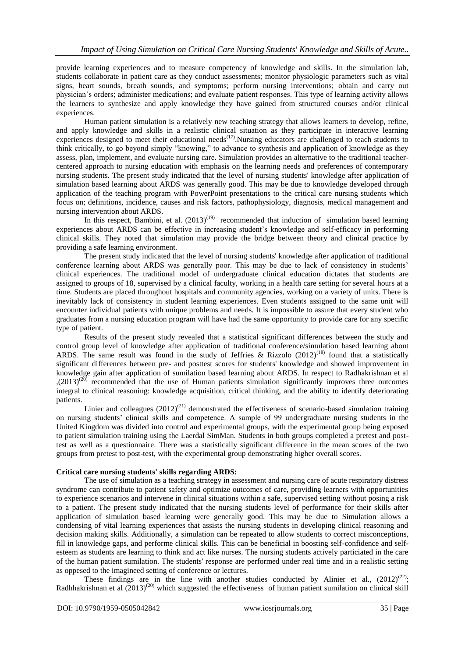provide learning experiences and to measure competency of knowledge and skills. In the simulation lab, students collaborate in patient care as they conduct assessments; monitor physiologic parameters such as vital signs, heart sounds, breath sounds, and symptoms; perform nursing interventions; obtain and carry out physician"s orders; administer medications; and evaluate patient responses. This type of learning activity allows the learners to synthesize and apply knowledge they have gained from structured courses and/or clinical experiences.

Human patient simulation is a relatively new teaching strategy that allows learners to develop, refine, and apply knowledge and skills in a realistic clinical situation as they participate in interactive learning experiences designed to meet their educational needs<sup> $(17)$ </sup>. Nursing educators are challenged to teach students to think critically, to go beyond simply "knowing," to advance to synthesis and application of knowledge as they assess, plan, implement, and evaluate nursing care. Simulation provides an alternative to the traditional teachercentered approach to nursing education with emphasis on the learning needs and preferences of contemporary nursing students. The present study indicated that the level of nursing students' knowledge after application of simulation based learning about ARDS was generally good. This may be due to knowledge developed through application of the teaching program with PowerPoint presentations to the critical care nursing students which focus on; definitions, incidence, causes and risk factors, pathophysiology, diagnosis, medical management and nursing intervention about ARDS.

In this respect, Bambini, et al.  $(2013)^{(19)}$  recommended that induction of simulation based learning experiences about ARDS can be effective in increasing student"s knowledge and self-efficacy in performing clinical skills. They noted that simulation may provide the bridge between theory and clinical practice by providing a safe learning environment.

The present study indicated that the level of nursing students' knowledge after application of traditional conference learning about ARDS was generally poor. This may be due to lack of consistency in students' clinical experiences. The traditional model of undergraduate clinical education dictates that students are assigned to groups of 18, supervised by a clinical faculty, working in a health care setting for several hours at a time. Students are placed throughout hospitals and community agencies, working on a variety of units. There is inevitably lack of consistency in student learning experiences. Even students assigned to the same unit will encounter individual patients with unique problems and needs. It is impossible to assure that every student who graduates from a nursing education program will have had the same opportunity to provide care for any specific type of patient.

Results of the present study revealed that a statistical significant differences between the study and control group level of knowledge after application of traditional conference/simulation based learning about ARDS. The same result was found in the study of Jeffries & Rizzolo  $(2012)^{(18)}$  found that a statistically significant differences between pre- and posttest scores for students' knowledge and showed improvement in knowledge gain after application of sumilation based learning about ARDS. In respect to Radhakrishnan et al  $(2013)^{(20)}$  recommended that the use of Human patients simulation significantly improves three outcomes integral to clinical reasoning: knowledge acquisition, critical thinking, and the ability to identify deteriorating patients.

Linier and colleagues  $(2012)^{(21)}$  demonstrated the effectiveness of scenario-based simulation training on nursing students" clinical skills and competence. A sample of 99 undergraduate nursing students in the United Kingdom was divided into control and experimental groups, with the experimental group being exposed to patient simulation training using the Laerdal SimMan. Students in both groups completed a pretest and posttest as well as a questionnaire. There was a statistically significant difference in the mean scores of the two groups from pretest to post-test, with the experimental group demonstrating higher overall scores.

## **Critical care nursing students' skills regarding ARDS:**

The use of simulation as a teaching strategy in assessment and nursing care of acute respiratory distress syndrome can contribute to patient safety and optimize outcomes of care, providing learners with opportunities to experience scenarios and intervene in clinical situations within a safe, supervised setting without posing a risk to a patient. The present study indicated that the nursing students level of performance for their skills after application of simulation based learning were generally good. This may be due to Simulation allows a condensing of vital learning experiences that assists the nursing students in developing clinical reasoning and decision making skills. Additionally, a simulation can be repeated to allow students to correct misconceptions, fill in knowledge gaps, and performe clinical skills. This can be beneficial in boosting self-confidence and selfesteem as students are learning to think and act like nurses. The nursing students actively particiated in the care of the human patient sumilation. The students' response are performed under real time and in a realistic setting as oppesed to the imagineed setting of conference or lectures.

These findings are in the line with another studies conducted by Alinier et al.,  $(2012)^{(22)}$ ; Radhhakrishnan et al  $(2013)^{(20)}$  which suggested the effectiveness of human patient sumilation on clinical skill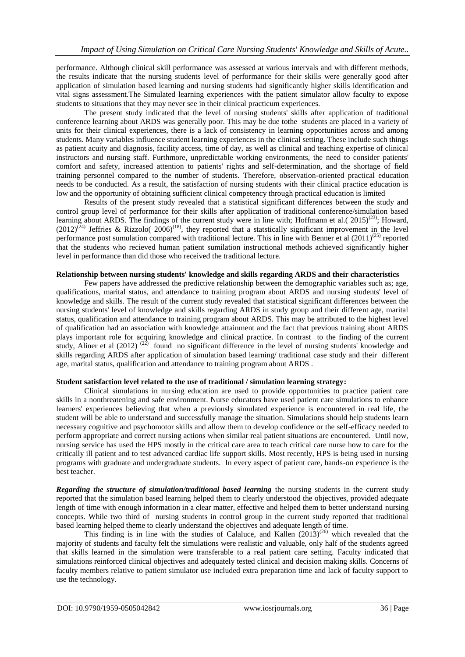performance. Although clinical skill performance was assessed at various intervals and with different methods, the results indicate that the nursing students level of performance for their skills were generally good after application of simulation based learning and nursing students had significantly higher skills identification and vital signs assessment.The Simulated learning experiences with the patient simulator allow faculty to expose students to situations that they may never see in their clinical practicum experiences.

The present study indicated that the level of nursing students' skills after application of traditional conference learning about ARDS was generally poor. This may be due tothe students are placed in a variety of units for their clinical experiences, there is a lack of consistency in learning opportunities across and among students. Many variables influence student learning experiences in the clinical setting. These include such things as patient acuity and diagnosis, facility access, time of day, as well as clinical and teaching expertise of clinical instructors and nursing staff. Furthmore, unpredictable working environments, the need to consider patients' comfort and safety, increased attention to patients' rights and self-determination, and the shortage of field training personnel compared to the number of students. Therefore, observation-oriented practical education needs to be conducted. As a result, the satisfaction of nursing students with their clinical practice education is low and the opportunity of obtaining sufficient clinical competency through practical education is limited

Results of the present study revealed that a statistical significant differences between the study and control group level of performance for their skills after application of traditional conference/simulation based learning about ARDS. The findings of the current study were in line with; Hoffmann et al.(  $2015)^{(23)}$ ; Howard,  $(2012)^{(24)}$  Jeffries & Rizzolo(  $2006$ )<sup>(18)</sup>, they reported that a statstically significant improvement in the level performance post sumulation compared with traditional lecture. This in line with Benner et al  $(2011)^{(25)}$  reported that the students who recieved human patient sumilation instructional methods achieved significantly higher level in performance than did those who received the traditional lecture.

## **Relationship between nursing students' knowledge and skills regarding ARDS and their characteristics**

Few papers have addressed the predictive relationship between the demographic variables such as; age, qualifications, marital status, and attendance to training program about ARDS and nursing students' level of knowledge and skills. The result of the current study revealed that statistical significant differences between the nursing students' level of knowledge and skills regarding ARDS in study group and their different age, marital status, qualification and attendance to training program about ARDS. This may be attributed to the highest level of qualification had an association with knowledge attainment and the fact that previous training about ARDS plays important role for acquiring knowledge and clinical practice. In contrast to the finding of the current study, Aliner et al  $(2012)$ <sup> $(22)$ </sup> found no significant difference in the level of nursing students' knowledge and skills regarding ARDS after application of simulation based learning/ traditional case study and their different age, marital status, qualification and attendance to training program about ARDS .

## **Student satisfaction level related to the use of traditional / simulation learning strategy:**

Clinical simulations in nursing education are used to provide opportunities to practice patient care skills in a nonthreatening and safe environment. Nurse educators have used patient care simulations to enhance learners' experiences believing that when a previously simulated experience is encountered in real life, the student will be able to understand and successfully manage the situation. Simulations should help students learn necessary cognitive and psychomotor skills and allow them to develop confidence or the self-efficacy needed to perform appropriate and correct nursing actions when similar real patient situations are encountered. Until now, nursing service has used the HPS mostly in the critical care area to teach critical care nurse how to care for the critically ill patient and to test advanced cardiac life support skills. Most recently, HPS is being used in nursing programs with graduate and undergraduate students. In every aspect of patient care, hands-on experience is the best teacher.

*Regarding the structure of simulation/traditional based learning the nursing students in the current study* reported that the simulation based learning helped them to clearly understood the objectives, provided adequate length of time with enough information in a clear matter, effective and helped them to better understand nursing concepts. While two third of nursing students in control group in the current study reported that traditional based learning helped theme to clearly understand the objectives and adequate length of time.

This finding is in line with the studies of Calaluce, and Kallen  $(2013)^{(26)}$  which revealed that the majority of students and faculty felt the simulations were realistic and valuable, only half of the students agreed that skills learned in the simulation were transferable to a real patient care setting. Faculty indicated that simulations reinforced clinical objectives and adequately tested clinical and decision making skills. Concerns of faculty members relative to patient simulator use included extra preparation time and lack of faculty support to use the technology.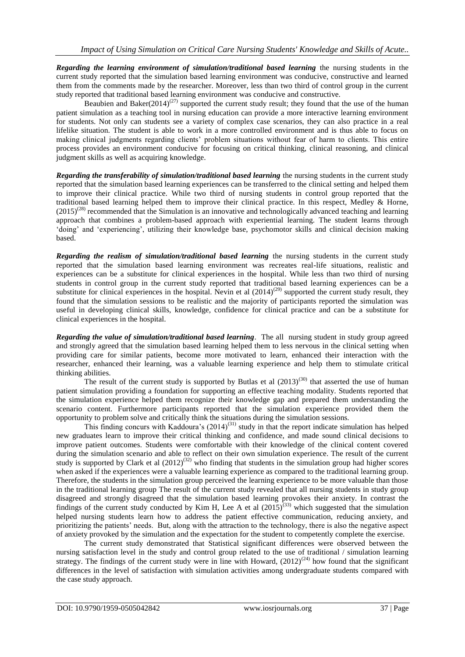*Regarding the learning environment of simulation/traditional based learning* the nursing students in the current study reported that the simulation based learning environment was conducive, constructive and learned them from the comments made by the researcher. Moreover, less than two third of control group in the current study reported that traditional based learning environment was conducive and constructive.

Beaubien and Baker(2014)<sup>(27)</sup> supported the current study result; they found that the use of the human patient simulation as a teaching tool in nursing education can provide a more interactive learning environment for students. Not only can students see a variety of complex case scenarios, they can also practice in a real lifelike situation. The student is able to work in a more controlled environment and is thus able to focus on making clinical judgments regarding clients" problem situations without fear of harm to clients. This entire process provides an environment conducive for focusing on critical thinking, clinical reasoning, and clinical judgment skills as well as acquiring knowledge.

*Regarding the transferability of simulation/traditional based learning* the nursing students in the current study reported that the simulation based learning experiences can be transferred to the clinical setting and helped them to improve their clinical practice. While two third of nursing students in control group reported that the traditional based learning helped them to improve their clinical practice. In this respect, Medley & Horne,  $(2015)^{(28)}$  recommended that the Simulation is an innovative and technologically advanced teaching and learning approach that combines a problem-based approach with experiential learning. The student learns through "doing" and "experiencing", utilizing their knowledge base, psychomotor skills and clinical decision making based.

*Regarding the realism of simulation/traditional based learning* the nursing students in the current study reported that the simulation based learning environment was recreates real-life situations, realistic and experiences can be a substitute for clinical experiences in the hospital. While less than two third of nursing students in control group in the current study reported that traditional based learning experiences can be a substitute for clinical experiences in the hospital. Nevin et al  $(2014)^{(29)}$  supported the current study result, they found that the simulation sessions to be realistic and the majority of participants reported the simulation was useful in developing clinical skills, knowledge, confidence for clinical practice and can be a substitute for clinical experiences in the hospital.

*Regarding the value of simulation/traditional based learning*. The all nursing student in study group agreed and strongly agreed that the simulation based learning helped them to less nervous in the clinical setting when providing care for similar patients, become more motivated to learn, enhanced their interaction with the researcher, enhanced their learning, was a valuable learning experience and help them to stimulate critical thinking abilities.

The result of the current study is supported by Butlas et al  $(2013)^{(30)}$  that asserted the use of human patient simulation providing a foundation for supporting an effective teaching modality. Students reported that the simulation experience helped them recognize their knowledge gap and prepared them understanding the scenario content. Furthermore participants reported that the simulation experience provided them the opportunity to problem solve and critically think the situations during the simulation sessions.

This finding concurs with Kaddoura's  $(2014)^{(31)}$  study in that the report indicate simulation has helped new graduates learn to improve their critical thinking and confidence, and made sound clinical decisions to improve patient outcomes. Students were comfortable with their knowledge of the clinical content covered during the simulation scenario and able to reflect on their own simulation experience. The result of the current study is supported by Clark et al  $(2012)^{(32)}$  who finding that students in the simulation group had higher scores when asked if the experiences were a valuable learning experience as compared to the traditional learning group. Therefore, the students in the simulation group perceived the learning experience to be more valuable than those in the traditional learning group The result of the current study revealed that all nursing students in study group disagreed and strongly disagreed that the simulation based learning provokes their anxiety. In contrast the findings of the current study conducted by Kim H, Lee A et al  $(2015)^{(33)}$  which suggested that the simulation helped nursing students learn how to address the patient effective communication, reducing anxiety, and prioritizing the patients" needs. But, along with the attraction to the technology, there is also the negative aspect of anxiety provoked by the simulation and the expectation for the student to competently complete the exercise.

The current study demonstrated that Statistical significant differences were observed between the nursing satisfaction level in the study and control group related to the use of traditional / simulation learning strategy. The findings of the current study were in line with Howard,  $(2012)^{(24)}$  how found that the significant differences in the level of satisfaction with simulation activities among undergraduate students compared with the case study approach.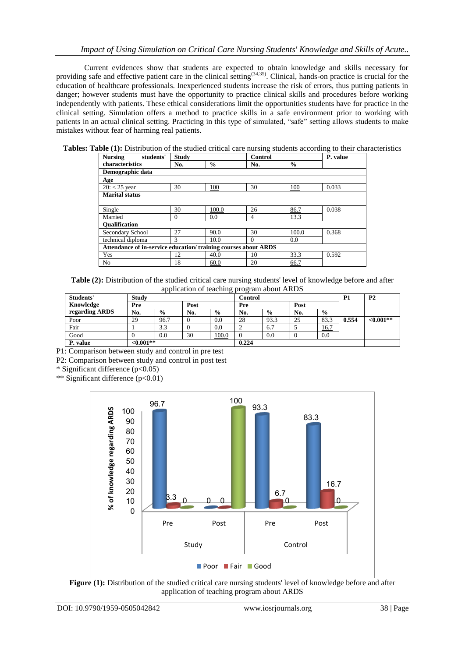Current evidences show that students are expected to obtain knowledge and skills necessary for providing safe and effective patient care in the clinical setting<sup>(34,35)</sup>. Clinical, hands-on practice is crucial for the education of healthcare professionals. Inexperienced students increase the risk of errors, thus putting patients in danger; however students must have the opportunity to practice clinical skills and procedures before working independently with patients. These ethical considerations limit the opportunities students have for practice in the clinical setting. Simulation offers a method to practice skills in a safe environment prior to working with patients in an actual clinical setting. Practicing in this type of simulated, "safe" setting allows students to make mistakes without fear of harming real patients.

**Tables: Table (1):** Distribution of the studied critical care nursing students according to their characteristics

| <b>Nursing</b><br>students'                                    | <b>Study</b> |               | Control  | P. value      |       |  |  |
|----------------------------------------------------------------|--------------|---------------|----------|---------------|-------|--|--|
| characteristics                                                | No.          | $\frac{0}{0}$ | No.      | $\frac{0}{0}$ |       |  |  |
| Demographic data                                               |              |               |          |               |       |  |  |
| Age                                                            |              |               |          |               |       |  |  |
| $20: < 25$ year                                                | 30           | 100           | 30       | 100           | 0.033 |  |  |
| <b>Marital status</b>                                          |              |               |          |               |       |  |  |
|                                                                |              |               |          |               |       |  |  |
| Single                                                         | 30           | 100.0         | 26       | 86.7          | 0.038 |  |  |
| Married                                                        | $\Omega$     | 0.0           | 4        | 13.3          |       |  |  |
| <b>Oualification</b>                                           |              |               |          |               |       |  |  |
| Secondary School                                               | 27           | 90.0          | 30       | 100.0         | 0.368 |  |  |
| technical diploma                                              | 3            | 10.0          | $\Omega$ | 0.0           |       |  |  |
| Attendance of in-service education/training courses about ARDS |              |               |          |               |       |  |  |
| Yes                                                            | 12           | 40.0          | 10       | 33.3          | 0.592 |  |  |
| N <sub>0</sub>                                                 | 18           | 60.0          | 20       | 66.7          |       |  |  |

**Table (2):** Distribution of the studied critical care nursing students' level of knowledge before and after application of teaching program about ARDS

| Students'      | . ب<br><b>Study</b> |               |      |               | Control |               |     |               | <b>P2</b> |             |
|----------------|---------------------|---------------|------|---------------|---------|---------------|-----|---------------|-----------|-------------|
| Knowledge      | Pre                 |               | Post |               |         | Pre           |     |               |           |             |
| regarding ARDS | No.                 | $\frac{6}{9}$ | No.  | $\frac{0}{0}$ | No.     | $\frac{0}{0}$ | No. | $\frac{6}{9}$ |           |             |
| Poor           | 29                  | 96.7          |      | 0.0           | 28      | 93.3          | 25  | 83.3          | 0.554     | $< 0.001**$ |
| Fair           |                     | 3.3           |      | 0.0           | ↩       | 6.7           |     | 16.7          |           |             |
| Good           |                     | 0.0           | 30   | 100.0         |         | 0.0           |     | 0.0           |           |             |
| P. value       | ${<}0.001**$        |               |      |               | 0.224   |               |     |               |           |             |

P1: Comparison between study and control in pre test

P2: Comparison between study and control in post test

\* Significant difference (p<0.05)

\*\* Significant difference (p<0.01)



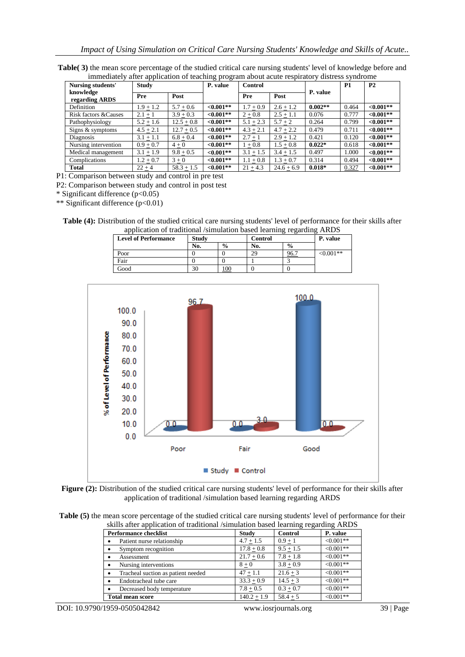| Table(3) the mean score percentage of the studied critical care nursing students' level of knowledge before and |  |
|-----------------------------------------------------------------------------------------------------------------|--|
| immediately after application of teaching program about acute respiratory distress syndrome                     |  |

| Nursing students'           | <b>Study</b> |              | P. value     | Control     |              |           | P1    | P <sub>2</sub> |
|-----------------------------|--------------|--------------|--------------|-------------|--------------|-----------|-------|----------------|
| knowledge<br>regarding ARDS | Pre          | Post         |              | Pre         | Post         | P. value  |       |                |
| Definition                  | $1.9 + 1.2$  | $5.7 + 0.6$  | ${<}0.001**$ | $1.7 + 0.9$ | $2.6 + 1.2$  | $0.002**$ | 0.464 | $< 0.001**$    |
| Risk factors & Causes       | $2.1 + 1$    | $3.9 + 0.3$  | ${<}0.001**$ | $2 + 0.8$   | $2.5 + 1.1$  | 0.076     | 0.777 | $< 0.001**$    |
| Pathophysiology             | $5.2 + 1.6$  | $12.5 + 0.8$ | ${<}0.001**$ | $5.1 + 2.3$ | $5.7 + 2$    | 0.264     | 0.799 | $< 0.001**$    |
| Signs & symptoms            | $4.5 + 2.1$  | $12.7 + 0.5$ | ${<}0.001**$ | $4.3 + 2.1$ | $4.7 + 2.2$  | 0.479     | 0.711 | $< 0.001**$    |
| Diagnosis                   | $3.1 + 1.1$  | $6.8 + 0.4$  | $< 0.001**$  | $2.7 + 1$   | $2.9 + 1.2$  | 0.421     | 0.120 | $<0.001**$     |
| Nursing intervention        | $0.9 + 0.7$  | $4 + 0$      | ${<}0.001**$ | $1 + 0.8$   | $1.5 + 0.8$  | $0.022*$  | 0.618 | $< 0.001**$    |
| Medical management          | $3.1 + 1.9$  | $9.8 + 0.5$  | $< 0.001**$  | $3.1 + 1.5$ | $3.4 + 1.5$  | 0.497     | 1.000 | $< 0.001**$    |
| Complications               | $1.2 + 0.7$  | $3 + 0$      | ${<}0.001**$ | $1.1 + 0.8$ | $1.3 + 0.7$  | 0.314     | 0.494 | $< 0.001**$    |
| Total                       | $22 + 4$     | $58.3 + 1.5$ | ${<}0.001**$ | $21 + 4.3$  | $24.6 + 6.9$ | $0.018*$  | 0.327 | $< 0.001**$    |

P1: Comparison between study and control in pre test

P2: Comparison between study and control in post test

\* Significant difference (p<0.05)

\*\* Significant difference  $(p<0.01)$ 

**Table (4):** Distribution of the studied critical care nursing students' level of performance for their skills after application of traditional /simulation based learning regarding ARDS

| <b>Level of Performance</b> | <b>Study</b>             |               | Control | P. value      |            |
|-----------------------------|--------------------------|---------------|---------|---------------|------------|
|                             | No.                      | $\frac{0}{0}$ | No.     | $\frac{6}{9}$ |            |
| Poor                        |                          |               | 29      | 96.           | $<0.001**$ |
| Fair                        |                          |               |         |               |            |
| Good                        | $\overline{\phantom{a}}$ | 100           |         |               |            |



Figure (2): Distribution of the studied critical care nursing students' level of performance for their skills after application of traditional /simulation based learning regarding ARDS

**Table (5)** the mean score percentage of the studied critical care nursing students' level of performance for their skills after application of traditional /simulation based learning regarding ARDS

| <b>Performance checklist</b>       | <b>Study</b>  | <b>Control</b> | P. value       |
|------------------------------------|---------------|----------------|----------------|
| Patient nurse relationship         | $4.7 + 1.5$   | $0.9 + 1$      | $< 0.001**$    |
| Symptom recognition                | $17.8 + 0.8$  | $9.5 + 1.5$    | $< 0.001**$    |
| Assessment                         | $21.7 + 0.6$  | $7.8 + 1.8$    | $< 0.001$ **   |
| Nursing interventions              | $8 + 0$       | $3.8 + 0.9$    | $\leq 0.001**$ |
| Tracheal suction as patient needed | $47 + 1.1$    | $21.6 + 3$     | $< 0.001**$    |
| Endotracheal tube care             | $33.3 + 0.9$  | $14.5 + 3$     | $< 0.001**$    |
| Decreased body temperature         | $7.8 + 0.5$   | $0.3 + 0.7$    | $< 0.001**$    |
| <b>Total mean score</b>            | $140.2 + 1.9$ | $58.4 + 5$     | $<0.001**$     |

DOI: 10.9790/1959-0505042842 www.iosrjournals.org 39 | Page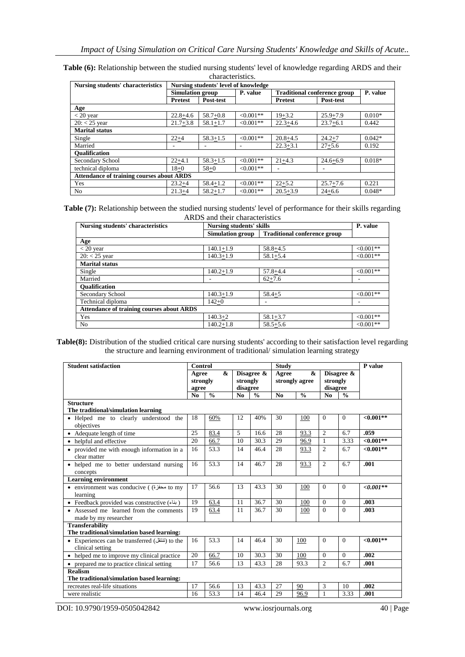| Nursing students' characteristics |                                                  |              | Nursing students' level of knowledge |                                     |              |          |  |  |  |
|-----------------------------------|--------------------------------------------------|--------------|--------------------------------------|-------------------------------------|--------------|----------|--|--|--|
|                                   | <b>Simulation group</b>                          |              | P. value                             | <b>Traditional conference group</b> | P. value     |          |  |  |  |
|                                   | <b>Pretest</b>                                   | Post-test    |                                      | <b>Pretest</b>                      | Post-test    |          |  |  |  |
| Age                               |                                                  |              |                                      |                                     |              |          |  |  |  |
| $<$ 20 year                       | $22.8 + 4.6$                                     | $58.7 + 0.8$ | $<0.001**$                           | $19 + 3.2$                          | $25.9 + 7.9$ | $0.010*$ |  |  |  |
| $20: < 25$ year                   | $21.7 + 3.8$                                     | $58.1 + 1.7$ | $< 0.001**$                          | $22.3 + 4.6$                        | $23.7 + 6.1$ | 0.442    |  |  |  |
| <b>Marital status</b>             |                                                  |              |                                      |                                     |              |          |  |  |  |
| Single                            | $22+4$                                           | $58.3 + 1.5$ | $< 0.001**$                          | $20.8 + 4.5$                        | $24.2 + 7$   | $0.042*$ |  |  |  |
| Married                           |                                                  | ۰            |                                      | $22.3 + 3.1$                        | $27 + 5.6$   | 0.192    |  |  |  |
| <b>Oualification</b>              |                                                  |              |                                      |                                     |              |          |  |  |  |
| Secondary School                  | $22 + 4.1$                                       | $58.3 + 1.5$ | $<0.001**$                           | $21+4.3$                            | $24.6 + 6.9$ | $0.018*$ |  |  |  |
| technical diploma                 | $18 + 0$                                         | $58 + 0$     | $<0.001**$                           |                                     | ۰            |          |  |  |  |
|                                   | <b>Attendance of training courses about ARDS</b> |              |                                      |                                     |              |          |  |  |  |
| Yes                               | $23.2 + 4$                                       | $58.4 + 1.2$ | $<0.001**$                           | $22 + 5.2$                          | $25.7 + 7.6$ | 0.221    |  |  |  |
| No                                | $21.3 + 4$                                       | $58.2 + 1.7$ | $<0.001**$                           | $20.5 + 3.9$                        | $24 + 6.6$   | $0.048*$ |  |  |  |

**Table (6):** Relationship between the studied nursing students' level of knowledge regarding ARDS and their characteristics.

**Table (7):** Relationship between the studied nursing students' level of performance for their skills regarding ARDS and their characteristics

| <b>Nursing students' characteristics</b>         | <b>Nursing students' skills</b> | P. value                            |             |
|--------------------------------------------------|---------------------------------|-------------------------------------|-------------|
|                                                  | <b>Simulation group</b>         | <b>Traditional conference group</b> |             |
| Age                                              |                                 |                                     |             |
| $<$ 20 year                                      | $140.1 + 1.9$                   | $58.8 + 4.5$                        | $<0.001**$  |
| $20: < 25$ year                                  | $140.3 + 1.9$                   | $58.1 + 5.4$                        | $<0.001**$  |
| <b>Marital status</b>                            |                                 |                                     |             |
| Single                                           | $140.2 + 1.9$                   | $57.8 + 4.4$                        | $<0.001**$  |
| Married                                          |                                 | $62 + 7.6$                          | ۰           |
| <b>Oualification</b>                             |                                 |                                     |             |
| Secondary School                                 | $140.3 + 1.9$                   | $58.4 + 5$                          | $< 0.001**$ |
| Technical diploma                                | $142+0$                         |                                     |             |
| <b>Attendance of training courses about ARDS</b> |                                 |                                     |             |
| Yes                                              | $140.3 + 2$                     | $58.1 + 3.7$                        | $< 0.001**$ |
| No.                                              | $140.2 + 1.8$                   | $58.5 + 5.6$                        | $<0.001**$  |

**Table(8):** Distribution of the studied critical care nursing students' according to their satisfaction level regarding the structure and learning environment of traditional/ simulation learning strategy

| <b>Student satisfaction</b>                                          | Control        |                                 |                |                                    | <b>Study</b>   |                              |                                    |               | P value      |
|----------------------------------------------------------------------|----------------|---------------------------------|----------------|------------------------------------|----------------|------------------------------|------------------------------------|---------------|--------------|
|                                                                      |                | &<br>Agree<br>strongly<br>agree |                | Disagree &<br>strongly<br>disagree |                | &<br>Agree<br>strongly agree | Disagree &<br>strongly<br>disagree |               |              |
|                                                                      | N <sub>0</sub> | $\frac{0}{0}$                   | N <sub>0</sub> | $\frac{0}{0}$                      | N <sub>0</sub> | $\frac{0}{0}$                | N <sub>0</sub>                     | $\frac{0}{0}$ |              |
| <b>Structure</b><br>The traditional/simulation learning              |                |                                 |                |                                    |                |                              |                                    |               |              |
| · Helped me to clearly understood the<br>objectives                  | 18             | 60%                             | 12             | 40%                                | 30             | 100                          | $\Omega$                           | $\Omega$      | ${<}0.001**$ |
| • Adequate length of time                                            | 25             | 83.4                            | 5              | 16.6                               | 28             | 93.3                         | $\overline{c}$                     | 6.7           | .059         |
| • helpful and effective                                              | 20             | 66.7                            | 10             | 30.3                               | 29             | 96.9                         | 1                                  | 3.33          | $<0.001**$   |
| • provided me with enough information in a<br>clear matter           | 16             | 53.3                            | 14             | 46.4                               | 28             | 93.3                         | $\overline{c}$                     | 6.7           | $<0.001**$   |
| • helped me to better understand nursing<br>concepts                 | 16             | 53.3                            | 14             | 46.7                               | 28             | 93.3                         | $\overline{2}$                     | 6.7           | .001         |
| <b>Learning environment</b>                                          |                |                                 |                |                                    |                |                              |                                    |               |              |
| • environment was conducive ( (محفزة o my<br>learning                | 17             | 56.6                            | 13             | 43.3                               | 30             | 100                          | $\Omega$                           | $\Omega$      | $<0.001**$   |
| • Feedback provided was constructive (بناء)                          | 19             | 63.4                            | 11             | 36.7                               | 30             | 100                          | $\Omega$                           | $\Omega$      | .003         |
| • Assessed me learned from the comments<br>made by my researcher     | 19             | 63.4                            | 11             | 36.7                               | 30             | 100                          | $\Omega$                           | $\Omega$      | .003         |
| <b>Transferability</b><br>The traditional/simulation based learning: |                |                                 |                |                                    |                |                              |                                    |               |              |
| • Experiences can be transferred (نتنقل) to the<br>clinical setting  | 16             | 53.3                            | 14             | 46.4                               | 30             | 100                          | $\Omega$                           | $\Omega$      | ${<}0.001**$ |
| • helped me to improve my clinical practice                          | 20             | 66.7                            | 10             | 30.3                               | 30             | 100                          | $\Omega$                           | $\Omega$      | .002         |
| • prepared me to practice clinical setting                           | 17             | 56.6                            | 13             | 43.3                               | 28             | 93.3                         | $\overline{2}$                     | 6.7           | .001         |
| <b>Realism</b><br>The traditional/simulation based learning:         |                |                                 |                |                                    |                |                              |                                    |               |              |
| recreates real-life situations                                       | 17             | 56.6                            | 13             | 43.3                               | 27             | 90                           | 3                                  | 10            | .002         |
| were realistic                                                       | 16             | 53.3                            | 14             | 46.4                               | 29             | 96.9                         |                                    | 3.33          | .001         |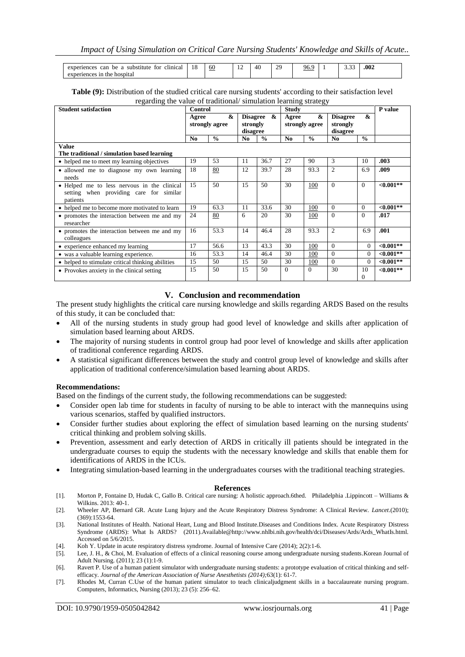| can<br>clinical<br>experiences<br>substitute<br>be<br>tor | 18 | 60 | . . | ററ<br>∸ | чŕ | - - | .002 |  |
|-----------------------------------------------------------|----|----|-----|---------|----|-----|------|--|
| . tences<br>1n<br>hospita.<br>expert<br>, the             |    |    |     |         |    |     |      |  |

| Table (9): Distribution of the studied critical care nursing students' according to their satisfaction level |  |
|--------------------------------------------------------------------------------------------------------------|--|
| regarding the value of traditional/simulation learning strategy                                              |  |

| <b>Student satisfaction</b>                       | Control        |                     |     |                                              | <b>Study</b> | ວມ                                           |                |                   | P value      |
|---------------------------------------------------|----------------|---------------------|-----|----------------------------------------------|--------------|----------------------------------------------|----------------|-------------------|--------------|
|                                                   | Agree          | &<br>strongly agree |     | &<br><b>Disagree</b><br>strongly<br>disagree |              | $\boldsymbol{\&}$<br>Agree<br>strongly agree |                | $\boldsymbol{\&}$ |              |
|                                                   | N <sub>0</sub> | $\frac{0}{0}$       | No. | $\frac{0}{0}$                                | No.          | $\frac{0}{0}$                                | N <sub>0</sub> | $\frac{0}{0}$     |              |
| <b>Value</b>                                      |                |                     |     |                                              |              |                                              |                |                   |              |
| The traditional / simulation based learning       |                |                     |     |                                              |              |                                              |                |                   |              |
| • helped me to meet my learning objectives        | 19             | 53                  | 11  | 36.7                                         | 27           | 90                                           | 3              | 10                | .003         |
| · allowed me to diagnose my own learning          | 18             | 80                  | 12  | 39.7                                         | 28           | 93.3                                         | $\overline{c}$ | 6.9               | .009         |
| needs                                             |                |                     |     |                                              |              |                                              |                |                   |              |
| • Helped me to less nervous in the clinical       | 15             | 50                  | 15  | 50                                           | 30           | 100                                          | $\Omega$       | $\Omega$          | ${<}0.001**$ |
| setting when providing care for similar           |                |                     |     |                                              |              |                                              |                |                   |              |
| patients                                          |                |                     |     |                                              |              |                                              |                |                   |              |
| • helped me to become more motivated to learn     | 19             | 63.3                | 11  | 33.6                                         | 30           | 100                                          | $\Omega$       | $\theta$          | ${<}0.001**$ |
| • promotes the interaction between me and my      | 24             | 80                  | 6   | 20                                           | 30           | 100                                          | $\Omega$       | $\Omega$          | .017         |
| researcher                                        |                |                     |     |                                              |              |                                              |                |                   |              |
| • promotes the interaction between me and my      | 16             | 53.3                | 14  | 46.4                                         | 28           | 93.3                                         | $\overline{c}$ | 6.9               | .001         |
| colleagues                                        |                |                     |     |                                              |              |                                              |                |                   |              |
| • experience enhanced my learning                 | 17             | 56.6                | 13  | 43.3                                         | 30           | 100                                          | $\Omega$       | $\overline{0}$    | ${<}0.001**$ |
| • was a valuable learning experience.             | 16             | 53.3                | 14  | 46.4                                         | 30           | 100                                          | $\Omega$       | $\overline{0}$    | $< 0.001**$  |
| • helped to stimulate critical thinking abilities | 15             | 50                  | 15  | 50                                           | 30           | 100                                          | $\Omega$       | $\Omega$          | ${<}0.001**$ |
| • Provokes anxiety in the clinical setting        | 15             | 50                  | 15  | 50                                           | $\Omega$     | $\Omega$                                     | 30             | 10                | ${<}0.001**$ |
|                                                   |                |                     |     |                                              |              |                                              |                | $\Omega$          |              |

## **V. Conclusion and recommendation**

The present study highlights the critical care nursing knowledge and skills regarding ARDS Based on the results of this study, it can be concluded that:

- All of the nursing students in study group had good level of knowledge and skills after application of simulation based learning about ARDS.
- The majority of nursing students in control group had poor level of knowledge and skills after application of traditional conference regarding ARDS.
- A statistical significant differences between the study and control group level of knowledge and skills after application of traditional conference/simulation based learning about ARDS.

#### **Recommendations:**

Based on the findings of the current study, the following recommendations can be suggested:

- Consider open lab time for students in faculty of nursing to be able to interact with the mannequins using various scenarios, staffed by qualified instructors.
- Consider further studies about exploring the effect of simulation based learning on the nursing students' critical thinking and problem solving skills.
- Prevention, assessment and early detection of ARDS in critically ill patients should be integrated in the undergraduate courses to equip the students with the necessary knowledge and skills that enable them for identifications of ARDS in the ICUs.
- Integrating simulation-based learning in the undergraduates courses with the traditional teaching strategies.

#### **References**

- [1]. Morton P, Fontaine D, Hudak C, Gallo B. Critical care nursing: A holistic approach.6thed. Philadelphia .Lippincott Williams & Wilkins. 2013: 40-1.
- [2]. Wheeler AP, Bernard GR. Acute Lung Injury and the Acute Respiratory Distress Syndrome: A Clinical Review. *Lancet*.(2010); (369):1553-64.
- [3]. National Institutes of Health. National Heart, Lung and Blood Institute.Diseases and Conditions Index. Acute Respiratory Distress Syndrome (ARDS): What Is ARDS? (2011[\).Available@http://www.nhlbi.nih.gov/health/dci/Diseases/Ards/Ards\\_WhatIs.html.](mailto:.Available@http://www.nhlbi.nih.gov/health/dci/Diseases/Ards/Ards_WhatIs.html.%20Accessed%20on%205/6/2015)  [Accessed on 5/6/2015.](mailto:.Available@http://www.nhlbi.nih.gov/health/dci/Diseases/Ards/Ards_WhatIs.html.%20Accessed%20on%205/6/2015)
- [4]. Koh Y. Update in acute respiratory distress syndrome. Journal of Intensive Care (2014); 2(2):1-6.
- [5]. Lee, J. H., & Choi, M. Evaluation of effects of a clinical reasoning course among undergraduate nursing students.Korean Journal of Adult Nursing. (2011); 23 (1):1-9.
- [6]. Ravert P. Use of a human patient simulator with undergraduate nursing students: a prototype evaluation of critical thinking and selfefficacy. *Journal of the American Association of Nurse Anesthetists (2014);*63(1): 61-7.
- [7]. Rhodes M, Curran C.Use of the human patient simulator to teach clinicaljudgment skills in a baccalaureate nursing program. Computers, Informatics, Nursing (2013); 23 (5): 256–62.